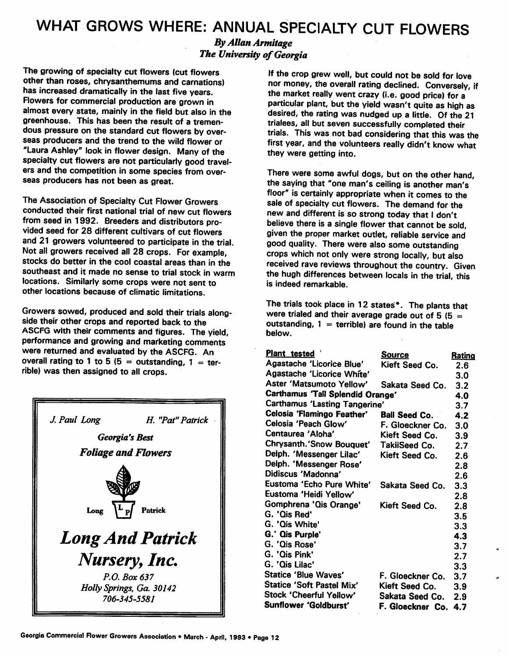## *WHAT GROWS WHERE: ANNUAL SPECIALTY CUT FLOWERS*

## *By Allan Armitage The University of Georgia*

The growing of specialty cut flowers (cut flowers other than roses, chrysanthemums and carnations) has increased dramatically in the last five years. Flowers for commercial production are grown in almost every state, mainly in the field but also in the greenhouse. This has been the result of a tremen dous pressure on the standard cut flowers by over seas producers and the trend to the wild flower or "Laura Ashley" look in flower design. Many of the specialty cut flowers are not particularly good travel ers and the competition in some species from over seas producers has not been as great.

The Association of Specialty Cut Flower Growers conducted their first national trial of new cut flowers from seed in 1992. Breeders and distributors pro vided seed for 28 different cultivars of cut flowers and 21 growers volunteered to participate in the trial. Not all growers received all 28 crops. For example, stocks do better in the cool coastal areas than in the southeast and it made no sense to trial stock in warm locations. Similarly some crops were not sent to other locations because of climatic limitations.

Growers sowed, produced and sold their trials along side their other crops and reported back to the ASCFG with their comments and figures. The yield, performance and growing and marketing comments were returned and evaluated by the ASCFG. An overall rating to 1 to 5 (5 = outstanding, 1 = terrible) was then assigned to all crops.



If the crop grew well, but could not be sold for love nor money, the overall rating declined. Conversely, if the market really went crazy (i.e. good price) for a particular plant, but the yield wasn't quite as high as desired, the rating was nudged up a little. Of the 21 trialees, all but seven successfully completed their trials. This was not bad considering that this was the first year, and the volunteers really didn't know what they were getting into.

There were some awful dogs, but on the other hand, the saying that "one man's ceiling is another man's floor" is certainly appropriate when it comes to the sale of specialty cut flowers. The demand for the new and different is so strong today that I don't believe there is a single flower that cannot be sold, given the proper market outlet, reliable service and good quality. There were also some outstanding crops which not only were strong locally, but also received rave reviews throughout the country. Given the hugh differences between locals in the trial, this is indeed remarkable.

The trials took place in 12 states\*. The plants that were trialed and their average grade out of 5 (5  $=$ outstanding,  $1 =$  terrible) are found in the table below.

| Agastache 'Licorice Blue'<br>Kieft Seed Co.<br>2.6<br>Agastache 'Licorice White'<br>3.0<br>Aster 'Matsumoto Yellow'<br>Sakata Seed Co.<br>3.2<br>Carthamus 'Tall Splendid Orange'<br>4.0<br><b>Carthamus 'Lasting Tangerine'</b><br>3.7<br>Celosia 'Flamingo Feather'<br><b>Ball Seed Co.</b><br>4.2<br>Celosia 'Peach Glow'<br>F. Gloeckner Co.<br>3.0<br>Centaurea 'Aloha'<br>Kieft Seed Co.<br>3.9<br>Chrysanth.'Snow Bouquet'<br>TakiiSeed Co.<br>2.7<br>Delph. 'Messenger Lilac'<br>Kieft Seed Co.<br>2.6<br>Delph. 'Messenger Rose'<br>2.8<br>Didiscus 'Madonna'<br>2.6<br>Eustoma 'Echo Pure White'<br>Sakata Seed Co.<br>3.3<br>Eustoma 'Heidi Yellow'<br>2.8<br>Gomphrena 'Qis Orange'<br>Kieft Seed Co.<br>2.8<br>G. 'Qis Red'<br>3.5<br>G. 'Qis White'<br>3.3<br>G.' Qis Purple'<br>4.3<br>G. 'Qis Rose'<br>3.7<br>G. 'Qis Pink'<br>2.7<br>G. 'Qis Lilac'<br>3.3<br><b>Statice 'Blue Waves'</b><br>F. Gloeckner Co.<br>3.7<br><b>Statice 'Soft Pastel Mix'</b><br>Kieft Seed Co.<br>3.9 | Plant tested            | <u>Source</u>   | <u>Rating</u> |
|----------------------------------------------------------------------------------------------------------------------------------------------------------------------------------------------------------------------------------------------------------------------------------------------------------------------------------------------------------------------------------------------------------------------------------------------------------------------------------------------------------------------------------------------------------------------------------------------------------------------------------------------------------------------------------------------------------------------------------------------------------------------------------------------------------------------------------------------------------------------------------------------------------------------------------------------------------------------------------------------------|-------------------------|-----------------|---------------|
|                                                                                                                                                                                                                                                                                                                                                                                                                                                                                                                                                                                                                                                                                                                                                                                                                                                                                                                                                                                                    |                         |                 |               |
|                                                                                                                                                                                                                                                                                                                                                                                                                                                                                                                                                                                                                                                                                                                                                                                                                                                                                                                                                                                                    |                         |                 |               |
|                                                                                                                                                                                                                                                                                                                                                                                                                                                                                                                                                                                                                                                                                                                                                                                                                                                                                                                                                                                                    |                         |                 |               |
|                                                                                                                                                                                                                                                                                                                                                                                                                                                                                                                                                                                                                                                                                                                                                                                                                                                                                                                                                                                                    |                         |                 |               |
|                                                                                                                                                                                                                                                                                                                                                                                                                                                                                                                                                                                                                                                                                                                                                                                                                                                                                                                                                                                                    |                         |                 |               |
|                                                                                                                                                                                                                                                                                                                                                                                                                                                                                                                                                                                                                                                                                                                                                                                                                                                                                                                                                                                                    |                         |                 |               |
|                                                                                                                                                                                                                                                                                                                                                                                                                                                                                                                                                                                                                                                                                                                                                                                                                                                                                                                                                                                                    |                         |                 |               |
|                                                                                                                                                                                                                                                                                                                                                                                                                                                                                                                                                                                                                                                                                                                                                                                                                                                                                                                                                                                                    |                         |                 |               |
|                                                                                                                                                                                                                                                                                                                                                                                                                                                                                                                                                                                                                                                                                                                                                                                                                                                                                                                                                                                                    |                         |                 |               |
|                                                                                                                                                                                                                                                                                                                                                                                                                                                                                                                                                                                                                                                                                                                                                                                                                                                                                                                                                                                                    |                         |                 |               |
|                                                                                                                                                                                                                                                                                                                                                                                                                                                                                                                                                                                                                                                                                                                                                                                                                                                                                                                                                                                                    |                         |                 |               |
|                                                                                                                                                                                                                                                                                                                                                                                                                                                                                                                                                                                                                                                                                                                                                                                                                                                                                                                                                                                                    |                         |                 |               |
|                                                                                                                                                                                                                                                                                                                                                                                                                                                                                                                                                                                                                                                                                                                                                                                                                                                                                                                                                                                                    |                         |                 |               |
|                                                                                                                                                                                                                                                                                                                                                                                                                                                                                                                                                                                                                                                                                                                                                                                                                                                                                                                                                                                                    |                         |                 |               |
|                                                                                                                                                                                                                                                                                                                                                                                                                                                                                                                                                                                                                                                                                                                                                                                                                                                                                                                                                                                                    |                         |                 |               |
|                                                                                                                                                                                                                                                                                                                                                                                                                                                                                                                                                                                                                                                                                                                                                                                                                                                                                                                                                                                                    |                         |                 |               |
|                                                                                                                                                                                                                                                                                                                                                                                                                                                                                                                                                                                                                                                                                                                                                                                                                                                                                                                                                                                                    |                         |                 |               |
|                                                                                                                                                                                                                                                                                                                                                                                                                                                                                                                                                                                                                                                                                                                                                                                                                                                                                                                                                                                                    |                         |                 |               |
|                                                                                                                                                                                                                                                                                                                                                                                                                                                                                                                                                                                                                                                                                                                                                                                                                                                                                                                                                                                                    |                         |                 |               |
|                                                                                                                                                                                                                                                                                                                                                                                                                                                                                                                                                                                                                                                                                                                                                                                                                                                                                                                                                                                                    |                         |                 |               |
|                                                                                                                                                                                                                                                                                                                                                                                                                                                                                                                                                                                                                                                                                                                                                                                                                                                                                                                                                                                                    |                         |                 |               |
|                                                                                                                                                                                                                                                                                                                                                                                                                                                                                                                                                                                                                                                                                                                                                                                                                                                                                                                                                                                                    |                         |                 |               |
|                                                                                                                                                                                                                                                                                                                                                                                                                                                                                                                                                                                                                                                                                                                                                                                                                                                                                                                                                                                                    |                         |                 |               |
|                                                                                                                                                                                                                                                                                                                                                                                                                                                                                                                                                                                                                                                                                                                                                                                                                                                                                                                                                                                                    | Stock 'Cheerful Yellow' | Sakata Seed Co. | 2.9           |
| Sunflower 'Goldburst'<br>F. Gloeckner Co.<br>4.7                                                                                                                                                                                                                                                                                                                                                                                                                                                                                                                                                                                                                                                                                                                                                                                                                                                                                                                                                   |                         |                 |               |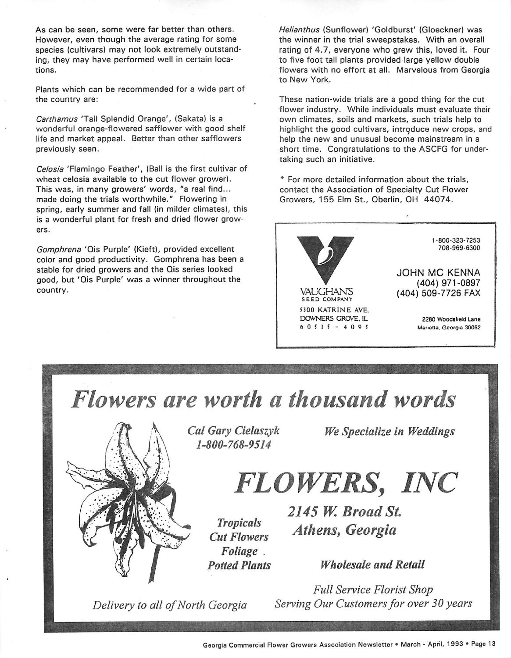As can be seen, some were far better than others. However, even though the average rating for some species (cultivars) may not look extremely outstand ing, they may have performed well in certain loca tions.

Plants which can be recommended for a wide part of the country are:

**Carthamus** 'Tall Splendid Orange', (Sakata) is a wonderful orange-flowered safflower with good shelf life and market appeal. Better than other safflowers previously seen.

**Celosia** 'Flamingo Feather', (Ball is the first cultivar of wheat celosia available to the cut flower grower). This was, in many growers' words, "a real find... made doing the trials worthwhile." Flowering in spring, early summer and fall (in milder climates), this is a wonderful plant for fresh and dried flower grow ers.

**Gomphrena** 'Qis Purple' (Kieft), provided excellent color and good productivity. Gomphrena has been a stable for dried growers and the Qis series looked good, but 'Qis Purple' was a winner throughout the country.

**Helianthus** (Sunflower) 'Goldburst' (Gloeckner) was the winner in the trial sweepstakes. With an overall rating of 4.7, everyone who grew this, loved it. Four to five foot tall plants provided large yellow double flowers with no effort at all. Marvelous from Georgia to New York.

These nation-wide trials are a good thing for the cut flower industry. While individuals must evaluate their own climates, soils and markets, such trials help to highlight the good cultivars, introduce new crops, and help the new and unusual become mainstream in a short time. Congratulations to the ASCFG for undertaking such an initiative.

\* For more detailed information about the trials, contact the Association of Specialty Cut Flower Growers, 155 Elm St., Oberlin, OH 44074.



**Flowers are worth a thousand words**



*Cal Gary Cielaszyk 1-800-768-9514*

*We Specialize in Weddings*

*FLOWERS, INC*

*Tropicals Cut Flowers Foliage Potted Plants* **2145 W. Broad St. Athens, Georgia**

*Wholesale and Retail*

**Delivery** to all of North Georgia

**Full Service Florist Shop Serving Our Customersfor over 30 years**